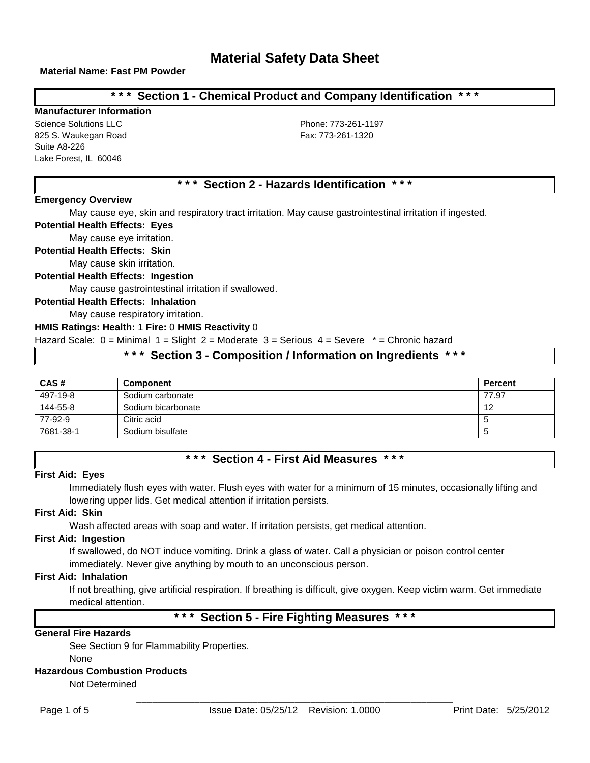## **\* \* \* Section 1 - Chemical Product and Company Identification \* \* \***

## **Manufacturer Information**

Science Solutions LLC **Phone: 773-261-1197** 825 S. Waukegan Road Fax: 773-261-1320 Suite A8-226 Lake Forest, IL 60046

# **\* \* \* Section 2 - Hazards Identification \* \* \***

### **Emergency Overview**

May cause eye, skin and respiratory tract irritation. May cause gastrointestinal irritation if ingested.

### **Potential Health Effects: Eyes**

May cause eye irritation.

**Potential Health Effects: Skin**

May cause skin irritation.

### **Potential Health Effects: Ingestion**

May cause gastrointestinal irritation if swallowed.

### **Potential Health Effects: Inhalation**

May cause respiratory irritation.

#### **HMIS Ratings: Health:** 1 **Fire:** 0 **HMIS Reactivity** 0

Hazard Scale: 0 = Minimal 1 = Slight 2 = Moderate 3 = Serious 4 = Severe \* = Chronic hazard

## **\* \* \* Section 3 - Composition / Information on Ingredients \* \* \***

| CAS#      | <b>Component</b>   | <b>Percent</b> |
|-----------|--------------------|----------------|
| 497-19-8  | Sodium carbonate   | 77.97          |
| 144-55-8  | Sodium bicarbonate | 12             |
| 77-92-9   | Citric acid        |                |
| 7681-38-1 | Sodium bisulfate   |                |

## **\* \* \* Section 4 - First Aid Measures \* \* \***

#### **First Aid: Eyes**

Immediately flush eyes with water. Flush eyes with water for a minimum of 15 minutes, occasionally lifting and lowering upper lids. Get medical attention if irritation persists.

### **First Aid: Skin**

Wash affected areas with soap and water. If irritation persists, get medical attention.

#### **First Aid: Ingestion**

If swallowed, do NOT induce vomiting. Drink a glass of water. Call a physician or poison control center immediately. Never give anything by mouth to an unconscious person.

#### **First Aid: Inhalation**

If not breathing, give artificial respiration. If breathing is difficult, give oxygen. Keep victim warm. Get immediate medical attention.

# **\* \* \* Section 5 - Fire Fighting Measures \* \* \***

### **General Fire Hazards**

See Section 9 for Flammability Properties. None

### **Hazardous Combustion Products**

Not Determined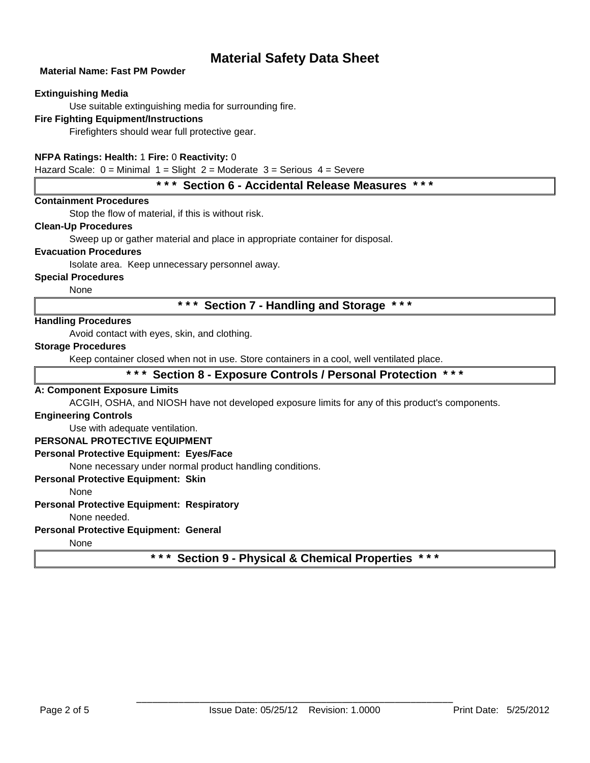### **Material Name: Fast PM Powder**

### **Extinguishing Media**

Use suitable extinguishing media for surrounding fire.

## **Fire Fighting Equipment/Instructions**

Firefighters should wear full protective gear.

## **NFPA Ratings: Health:** 1 **Fire:** 0 **Reactivity:** 0

Hazard Scale:  $0 =$  Minimal  $1 =$  Slight  $2 =$  Moderate  $3 =$  Serious  $4 =$  Severe

## **\* \* \* Section 6 - Accidental Release Measures \* \* \***

### **Containment Procedures**

Stop the flow of material, if this is without risk.

### **Clean-Up Procedures**

Sweep up or gather material and place in appropriate container for disposal.

### **Evacuation Procedures**

Isolate area. Keep unnecessary personnel away.

### **Special Procedures**

None

**\* \* \* Section 7 - Handling and Storage \* \* \***

### **Handling Procedures**

Avoid contact with eyes, skin, and clothing.

### **Storage Procedures**

Keep container closed when not in use. Store containers in a cool, well ventilated place.

## **\* \* \* Section 8 - Exposure Controls / Personal Protection \* \* \***

### **A: Component Exposure Limits**

ACGIH, OSHA, and NIOSH have not developed exposure limits for any of this product's components.

### **Engineering Controls**

Use with adequate ventilation.

### **PERSONAL PROTECTIVE EQUIPMENT**

### **Personal Protective Equipment: Eyes/Face**

None necessary under normal product handling conditions.

### **Personal Protective Equipment: Skin**

None

### **Personal Protective Equipment: Respiratory**

None needed.

## **Personal Protective Equipment: General**

None

**\* \* \* Section 9 - Physical & Chemical Properties \* \* \***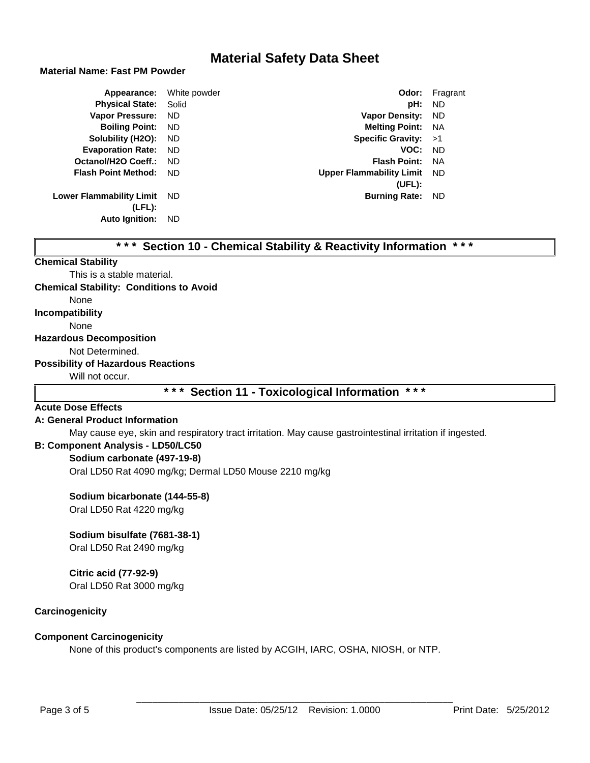### **Material Name: Fast PM Powder**

| Appearance:                     | White powder | Odor:                           | Fragrant  |
|---------------------------------|--------------|---------------------------------|-----------|
| <b>Physical State:</b>          | Solid        | pH:                             | <b>ND</b> |
| <b>Vapor Pressure:</b>          | ND.          | <b>Vapor Density:</b>           | ND.       |
| <b>Boiling Point:</b>           | ND.          | <b>Melting Point: NA</b>        |           |
| Solubility (H2O):               | ND.          | Specific Gravity: $>1$          |           |
| <b>Evaporation Rate:</b>        | ND.          | VOC:                            | - ND      |
| Octanol/H2O Coeff.:             | ND.          | <b>Flash Point:</b>             | NA        |
| <b>Flash Point Method:</b>      | ND.          | <b>Upper Flammability Limit</b> | - ND      |
|                                 |              | (UEL):                          |           |
| <b>Lower Flammability Limit</b> | ND.          | <b>Burning Rate:</b>            | ND.       |
| (LFL):                          |              |                                 |           |
| <b>Auto Ignition:</b>           | ND.          |                                 |           |

|  |  |  |  |  |  | *** Section 10 - Chemical Stability & Reactivity Information *** |  |  |
|--|--|--|--|--|--|------------------------------------------------------------------|--|--|
|--|--|--|--|--|--|------------------------------------------------------------------|--|--|

#### **Chemical Stability**

This is a stable material. **Chemical Stability: Conditions to Avoid**

None

**Incompatibility**

None

#### **Hazardous Decomposition**

Not Determined.

#### **Possibility of Hazardous Reactions**

Will not occur.

## **\* \* \* Section 11 - Toxicological Information \* \* \***

### **Acute Dose Effects**

### **A: General Product Information**

May cause eye, skin and respiratory tract irritation. May cause gastrointestinal irritation if ingested.

## **B: Component Analysis - LD50/LC50**

## **Sodium carbonate (497-19-8)**

Oral LD50 Rat 4090 mg/kg; Dermal LD50 Mouse 2210 mg/kg

### **Sodium bicarbonate (144-55-8)**

Oral LD50 Rat 4220 mg/kg

## **Sodium bisulfate (7681-38-1)**

Oral LD50 Rat 2490 mg/kg

### **Citric acid (77-92-9)**

Oral LD50 Rat 3000 mg/kg

### **Carcinogenicity**

## **Component Carcinogenicity**

None of this product's components are listed by ACGIH, IARC, OSHA, NIOSH, or NTP.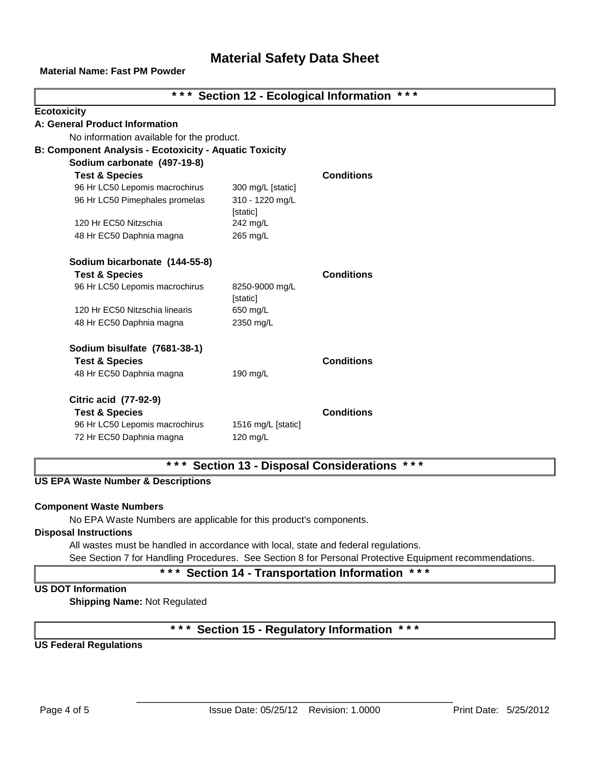**Material Name: Fast PM Powder**

| * * *<br>*** Section 12 - Ecological Information              |                            |                   |  |  |  |
|---------------------------------------------------------------|----------------------------|-------------------|--|--|--|
| <b>Ecotoxicity</b>                                            |                            |                   |  |  |  |
| A: General Product Information                                |                            |                   |  |  |  |
| No information available for the product.                     |                            |                   |  |  |  |
| <b>B: Component Analysis - Ecotoxicity - Aquatic Toxicity</b> |                            |                   |  |  |  |
| Sodium carbonate (497-19-8)                                   |                            |                   |  |  |  |
| <b>Test &amp; Species</b>                                     |                            | <b>Conditions</b> |  |  |  |
| 96 Hr LC50 Lepomis macrochirus                                | 300 mg/L [static]          |                   |  |  |  |
| 96 Hr LC50 Pimephales promelas                                | 310 - 1220 mg/L            |                   |  |  |  |
|                                                               | [static]                   |                   |  |  |  |
| 120 Hr EC50 Nitzschia                                         | 242 mg/L                   |                   |  |  |  |
| 48 Hr EC50 Daphnia magna                                      | 265 mg/L                   |                   |  |  |  |
| Sodium bicarbonate (144-55-8)                                 |                            |                   |  |  |  |
| <b>Test &amp; Species</b>                                     |                            | <b>Conditions</b> |  |  |  |
| 96 Hr LC50 Lepomis macrochirus                                | 8250-9000 mg/L<br>[static] |                   |  |  |  |
| 120 Hr EC50 Nitzschia linearis                                | 650 mg/L                   |                   |  |  |  |
| 48 Hr EC50 Daphnia magna                                      | 2350 mg/L                  |                   |  |  |  |
| Sodium bisulfate (7681-38-1)                                  |                            |                   |  |  |  |
| <b>Test &amp; Species</b>                                     |                            | <b>Conditions</b> |  |  |  |
| 48 Hr EC50 Daphnia magna                                      | 190 mg/L                   |                   |  |  |  |
| <b>Citric acid (77-92-9)</b>                                  |                            |                   |  |  |  |
| <b>Test &amp; Species</b>                                     |                            | <b>Conditions</b> |  |  |  |
| 96 Hr LC50 Lepomis macrochirus                                | 1516 mg/L [static]         |                   |  |  |  |
| 72 Hr EC50 Daphnia magna                                      | 120 mg/L                   |                   |  |  |  |

# **\* \* \* Section 13 - Disposal Considerations \* \* \***

### **US EPA Waste Number & Descriptions**

### **Component Waste Numbers**

No EPA Waste Numbers are applicable for this product's components.

## **Disposal Instructions**

All wastes must be handled in accordance with local, state and federal regulations.

See Section 7 for Handling Procedures. See Section 8 for Personal Protective Equipment recommendations.

**\* \* \* Section 14 - Transportation Information \* \* \***

## **US DOT Information**

**Shipping Name:** Not Regulated

# **\* \* \* Section 15 - Regulatory Information \* \* \***

**US Federal Regulations**